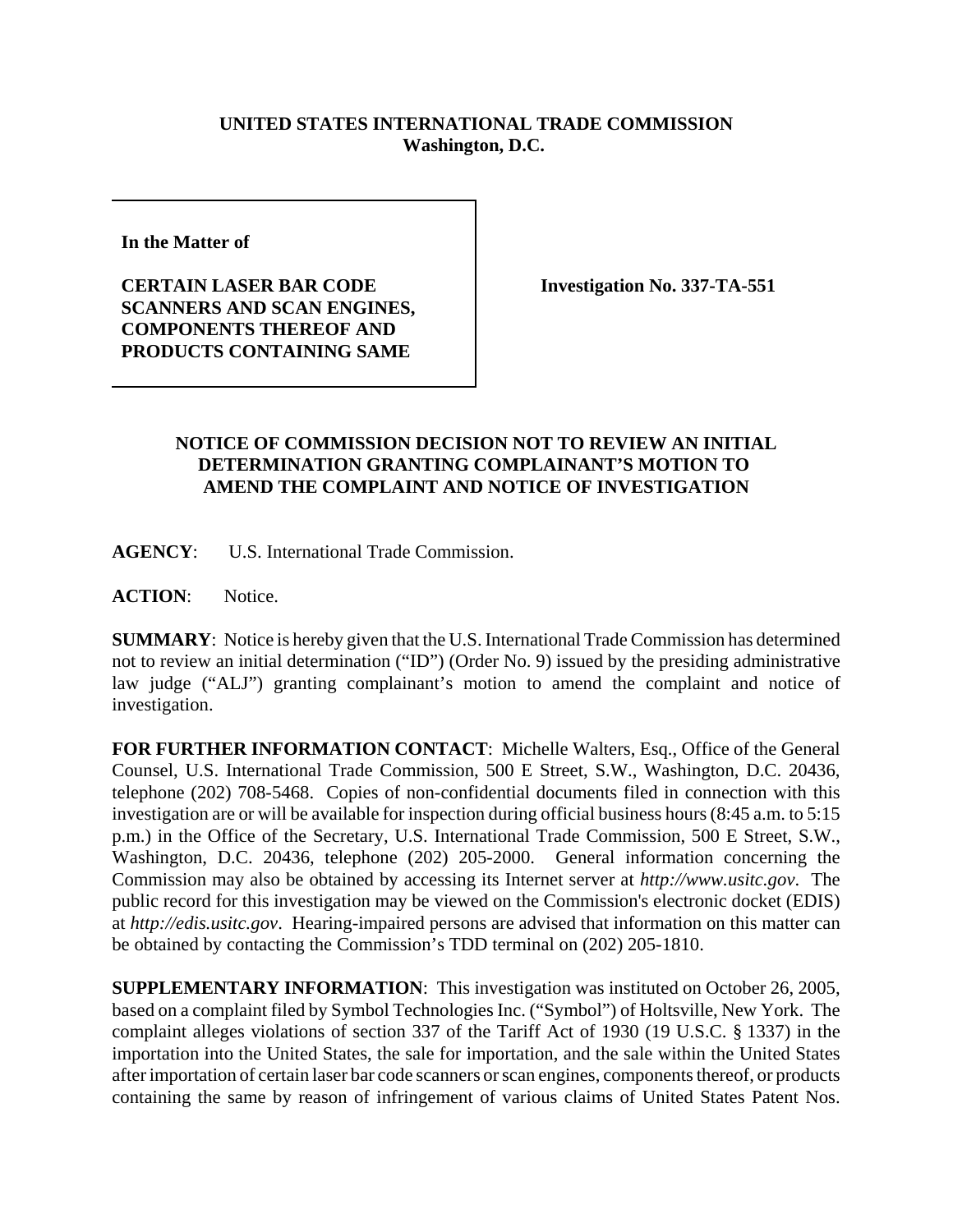## **UNITED STATES INTERNATIONAL TRADE COMMISSION Washington, D.C.**

**In the Matter of** 

**CERTAIN LASER BAR CODE SCANNERS AND SCAN ENGINES, COMPONENTS THEREOF AND PRODUCTS CONTAINING SAME**

**Investigation No. 337-TA-551**

## **NOTICE OF COMMISSION DECISION NOT TO REVIEW AN INITIAL DETERMINATION GRANTING COMPLAINANT'S MOTION TO AMEND THE COMPLAINT AND NOTICE OF INVESTIGATION**

**AGENCY**: U.S. International Trade Commission.

**ACTION**: Notice.

**SUMMARY**: Notice is hereby given that the U.S. International Trade Commission has determined not to review an initial determination ("ID") (Order No. 9) issued by the presiding administrative law judge ("ALJ") granting complainant's motion to amend the complaint and notice of investigation.

**FOR FURTHER INFORMATION CONTACT**: Michelle Walters, Esq., Office of the General Counsel, U.S. International Trade Commission, 500 E Street, S.W., Washington, D.C. 20436, telephone (202) 708-5468. Copies of non-confidential documents filed in connection with this investigation are or will be available for inspection during official business hours (8:45 a.m. to 5:15 p.m.) in the Office of the Secretary, U.S. International Trade Commission, 500 E Street, S.W., Washington, D.C. 20436, telephone (202) 205-2000. General information concerning the Commission may also be obtained by accessing its Internet server at *http://www.usitc.gov*. The public record for this investigation may be viewed on the Commission's electronic docket (EDIS) at *http://edis.usitc.gov*. Hearing-impaired persons are advised that information on this matter can be obtained by contacting the Commission's TDD terminal on (202) 205-1810.

**SUPPLEMENTARY INFORMATION**: This investigation was instituted on October 26, 2005, based on a complaint filed by Symbol Technologies Inc. ("Symbol") of Holtsville, New York. The complaint alleges violations of section 337 of the Tariff Act of 1930 (19 U.S.C. § 1337) in the importation into the United States, the sale for importation, and the sale within the United States after importation of certain laser bar code scanners or scan engines, components thereof, or products containing the same by reason of infringement of various claims of United States Patent Nos.